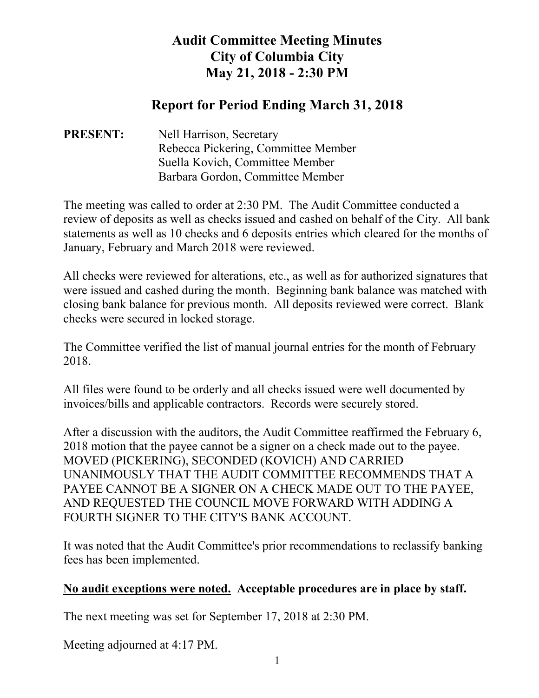## **Audit Committee Meeting Minutes City of Columbia City May 21, 2018 - 2:30 PM**

## **Report for Period Ending March 31, 2018**

## **PRESENT:** Nell Harrison, Secretary Rebecca Pickering, Committee Member Suella Kovich, Committee Member Barbara Gordon, Committee Member

The meeting was called to order at 2:30 PM. The Audit Committee conducted a review of deposits as well as checks issued and cashed on behalf of the City. All bank statements as well as 10 checks and 6 deposits entries which cleared for the months of January, February and March 2018 were reviewed.

All checks were reviewed for alterations, etc., as well as for authorized signatures that were issued and cashed during the month. Beginning bank balance was matched with closing bank balance for previous month. All deposits reviewed were correct. Blank checks were secured in locked storage.

The Committee verified the list of manual journal entries for the month of February 2018.

All files were found to be orderly and all checks issued were well documented by invoices/bills and applicable contractors. Records were securely stored.

After a discussion with the auditors, the Audit Committee reaffirmed the February 6, 2018 motion that the payee cannot be a signer on a check made out to the payee. MOVED (PICKERING), SECONDED (KOVICH) AND CARRIED UNANIMOUSLY THAT THE AUDIT COMMITTEE RECOMMENDS THAT A PAYEE CANNOT BE A SIGNER ON A CHECK MADE OUT TO THE PAYEE, AND REQUESTED THE COUNCIL MOVE FORWARD WITH ADDING A FOURTH SIGNER TO THE CITY'S BANK ACCOUNT.

It was noted that the Audit Committee's prior recommendations to reclassify banking fees has been implemented.

## **No audit exceptions were noted. Acceptable procedures are in place by staff.**

The next meeting was set for September 17, 2018 at 2:30 PM.

Meeting adjourned at 4:17 PM.